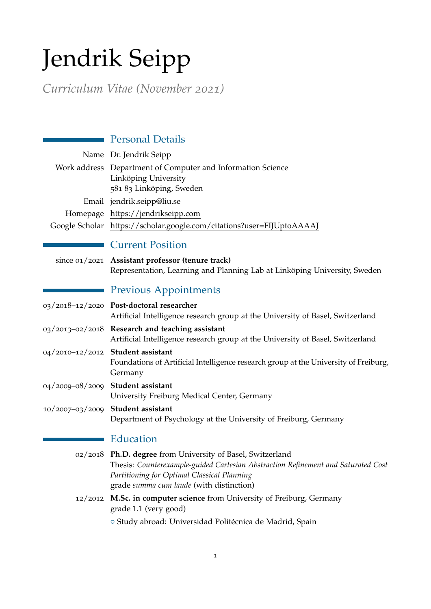# Jendrik Seipp

*Curriculum Vitae (November 2021)*

| <b>Personal Details</b>                                                                                                                                                                                                                    |
|--------------------------------------------------------------------------------------------------------------------------------------------------------------------------------------------------------------------------------------------|
| Name Dr. Jendrik Seipp                                                                                                                                                                                                                     |
| Work address Department of Computer and Information Science<br>Linköping University<br>581 83 Linköping, Sweden                                                                                                                            |
| Email jendrik.seipp@liu.se                                                                                                                                                                                                                 |
| Homepage https://jendrikseipp.com                                                                                                                                                                                                          |
| Google Scholar https://scholar.google.com/citations?user=FIJUptoAAAAJ                                                                                                                                                                      |
| <b>Current Position</b>                                                                                                                                                                                                                    |
| since 01/2021 Assistant professor (tenure track)<br>Representation, Learning and Planning Lab at Linköping University, Sweden                                                                                                              |
| <b>Previous Appointments</b>                                                                                                                                                                                                               |
| 03/2018-12/2020 Post-doctoral researcher<br>Artificial Intelligence research group at the University of Basel, Switzerland                                                                                                                 |
| 03/2013-02/2018 Research and teaching assistant<br>Artificial Intelligence research group at the University of Basel, Switzerland                                                                                                          |
| 04/2010-12/2012 Student assistant<br>Foundations of Artificial Intelligence research group at the University of Freiburg,<br>Germany                                                                                                       |
| 04/2009-08/2009 Student assistant<br>University Freiburg Medical Center, Germany                                                                                                                                                           |
| 10/2007-03/2009 Student assistant<br>Department of Psychology at the University of Freiburg, Germany                                                                                                                                       |
| Education                                                                                                                                                                                                                                  |
| 02/2018 Ph.D. degree from University of Basel, Switzerland<br>Thesis: Counterexample-guided Cartesian Abstraction Refinement and Saturated Cost<br>Partitioning for Optimal Classical Planning<br>grade summa cum laude (with distinction) |
| 12/2012 M.Sc. in computer science from University of Freiburg, Germany<br>grade 1.1 (very good)                                                                                                                                            |
| o Study abroad: Universidad Politécnica de Madrid, Spain                                                                                                                                                                                   |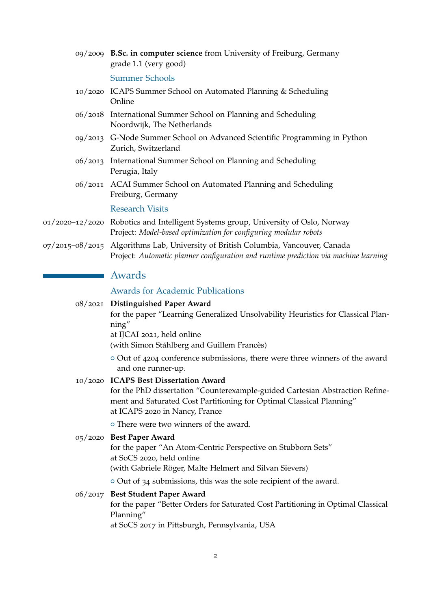| 09/2009 B.Sc. in computer science from University of Freiburg, Germany<br>grade 1.1 (very good)                                                                                                                                  |
|----------------------------------------------------------------------------------------------------------------------------------------------------------------------------------------------------------------------------------|
| <b>Summer Schools</b>                                                                                                                                                                                                            |
| 10/2020 ICAPS Summer School on Automated Planning & Scheduling<br>Online                                                                                                                                                         |
| 06/2018 International Summer School on Planning and Scheduling<br>Noordwijk, The Netherlands                                                                                                                                     |
| 09/2013 G-Node Summer School on Advanced Scientific Programming in Python<br>Zurich, Switzerland                                                                                                                                 |
| 06/2013 International Summer School on Planning and Scheduling<br>Perugia, Italy                                                                                                                                                 |
| 06/2011 ACAI Summer School on Automated Planning and Scheduling<br>Freiburg, Germany                                                                                                                                             |
| <b>Research Visits</b>                                                                                                                                                                                                           |
| o1/2020–12/2020 Robotics and Intelligent Systems group, University of Oslo, Norway<br>Project: Model-based optimization for configuring modular robots                                                                           |
| 07/2015-08/2015 Algorithms Lab, University of British Columbia, Vancouver, Canada<br>Project: Automatic planner configuration and runtime prediction via machine learning                                                        |
| Awards                                                                                                                                                                                                                           |
| <b>Awards for Academic Publications</b>                                                                                                                                                                                          |
| 08/2021 Distinguished Paper Award<br>for the paper "Learning Generalized Unsolvability Heuristics for Classical Plan-<br>ning"<br>at IJCAI 2021, held online                                                                     |
| (with Simon Ståhlberg and Guillem Francès)                                                                                                                                                                                       |
| o Out of 4204 conference submissions, there were three winners of the award<br>and one runner-up.                                                                                                                                |
| 10/2020 ICAPS Best Dissertation Award<br>for the PhD dissertation "Counterexample-guided Cartesian Abstraction Refine-<br>ment and Saturated Cost Partitioning for Optimal Classical Planning"<br>at ICAPS 2020 in Nancy, France |
| o There were two winners of the award.                                                                                                                                                                                           |
| 05/2020 Best Paper Award<br>for the paper "An Atom-Centric Perspective on Stubborn Sets"<br>at SoCS 2020, held online<br>(with Gabriele Röger, Malte Helmert and Silvan Sievers)                                                 |
| $\circ$ Out of 34 submissions, this was the sole recipient of the award.                                                                                                                                                         |
| 06/2017 Best Student Paper Award<br>for the paper "Better Orders for Saturated Cost Partitioning in Optimal Classical<br>Planning"<br>at SoCS 2017 in Pittsburgh, Pennsylvania, USA                                              |

2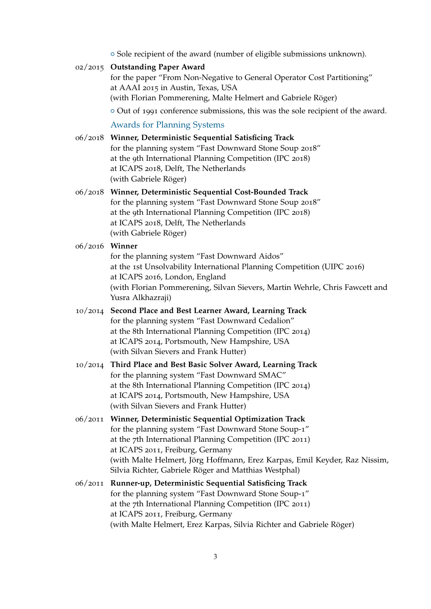$\circ$  Sole recipient of the award (number of eligible submissions unknown).

## 02/2015 **Outstanding Paper Award**

for the paper "From Non-Negative to General Operator Cost Partitioning" at AAAI 2015 in Austin, Texas, USA (with Florian Pommerening, Malte Helmert and Gabriele Röger)

 $\circ$  Out of 1991 conference submissions, this was the sole recipient of the award.

#### Awards for Planning Systems

06/2018 **Winner, Deterministic Sequential Satisficing Track** for the planning system "Fast Downward Stone Soup 2018" at the 9th International Planning Competition (IPC 2018) at ICAPS 2018, Delft, The Netherlands (with Gabriele Röger) 06/2018 **Winner, Deterministic Sequential Cost-Bounded Track** for the planning system "Fast Downward Stone Soup 2018" at the 9th International Planning Competition (IPC 2018) at ICAPS 2018, Delft, The Netherlands (with Gabriele Röger) 06/2016 **Winner** for the planning system "Fast Downward Aidos"

at the 1st Unsolvability International Planning Competition (UIPC 2016) at ICAPS 2016, London, England (with Florian Pommerening, Silvan Sievers, Martin Wehrle, Chris Fawcett and Yusra Alkhazraji)

- 10/2014 **Second Place and Best Learner Award, Learning Track** for the planning system "Fast Downward Cedalion" at the 8th International Planning Competition (IPC 2014) at ICAPS 2014, Portsmouth, New Hampshire, USA (with Silvan Sievers and Frank Hutter)
- 10/2014 **Third Place and Best Basic Solver Award, Learning Track** for the planning system "Fast Downward SMAC" at the 8th International Planning Competition (IPC 2014) at ICAPS 2014, Portsmouth, New Hampshire, USA (with Silvan Sievers and Frank Hutter)
- 06/2011 **Winner, Deterministic Sequential Optimization Track** for the planning system "Fast Downward Stone Soup-1" at the 7th International Planning Competition (IPC 2011) at ICAPS 2011, Freiburg, Germany (with Malte Helmert, Jörg Hoffmann, Erez Karpas, Emil Keyder, Raz Nissim, Silvia Richter, Gabriele Röger and Matthias Westphal)
- 06/2011 **Runner-up, Deterministic Sequential Satisficing Track** for the planning system "Fast Downward Stone Soup-1" at the 7th International Planning Competition (IPC 2011) at ICAPS 2011, Freiburg, Germany (with Malte Helmert, Erez Karpas, Silvia Richter and Gabriele Röger)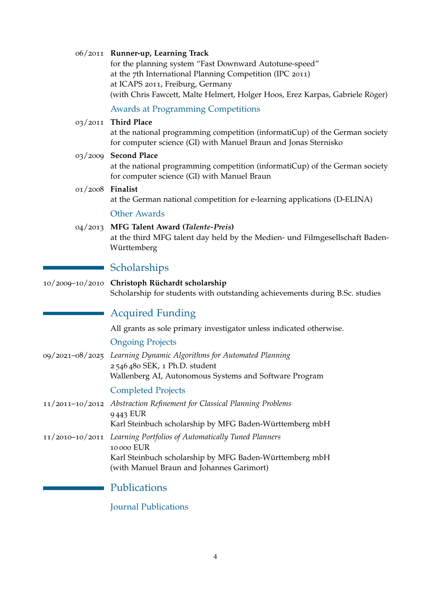|                  | 06/2011 Runner-up, Learning Track<br>for the planning system "Fast Downward Autotune-speed"<br>at the 7th International Planning Competition (IPC 2011)<br>at ICAPS 2011, Freiburg, Germany<br>(with Chris Fawcett, Malte Helmert, Holger Hoos, Erez Karpas, Gabriele Röger) |
|------------------|------------------------------------------------------------------------------------------------------------------------------------------------------------------------------------------------------------------------------------------------------------------------------|
|                  | <b>Awards at Programming Competitions</b>                                                                                                                                                                                                                                    |
| 03/2011          | <b>Third Place</b><br>at the national programming competition (informatiCup) of the German society<br>for computer science (GI) with Manuel Braun and Jonas Sternisko                                                                                                        |
| 03/2009          | <b>Second Place</b><br>at the national programming competition (informatiCup) of the German society<br>for computer science (GI) with Manuel Braun                                                                                                                           |
| 01/2008 Finalist | at the German national competition for e-learning applications (D-ELINA)                                                                                                                                                                                                     |
|                  | <b>Other Awards</b>                                                                                                                                                                                                                                                          |
|                  | 04/2013 MFG Talent Award (Talente-Preis)<br>at the third MFG talent day held by the Medien- und Filmgesellschaft Baden-<br>Württemberg                                                                                                                                       |
|                  | Scholarships                                                                                                                                                                                                                                                                 |
|                  | 10/2009-10/2010 Christoph Rüchardt scholarship<br>Scholarship for students with outstanding achievements during B.Sc. studies                                                                                                                                                |
|                  | <b>Acquired Funding</b>                                                                                                                                                                                                                                                      |
|                  | All grants as sole primary investigator unless indicated otherwise.                                                                                                                                                                                                          |
|                  | <b>Ongoing Projects</b>                                                                                                                                                                                                                                                      |
|                  | 09/2021-08/2025 Learning Dynamic Algorithms for Automated Planning<br>2 546 480 SEK, 1 Ph.D. student<br>Wallenberg AI, Autonomous Systems and Software Program                                                                                                               |
|                  | <b>Completed Projects</b>                                                                                                                                                                                                                                                    |
|                  | 11/2011-10/2012 Abstraction Refinement for Classical Planning Problems<br>9443 EUR<br>Karl Steinbuch scholarship by MFG Baden-Württemberg mbH                                                                                                                                |
| 11/2010-10/2011  | Learning Portfolios of Automatically Tuned Planners<br>10000 EUR<br>Karl Steinbuch scholarship by MFG Baden-Württemberg mbH<br>(with Manuel Braun and Johannes Garimort)                                                                                                     |
|                  | Publications                                                                                                                                                                                                                                                                 |
|                  | <b>Journal Publications</b>                                                                                                                                                                                                                                                  |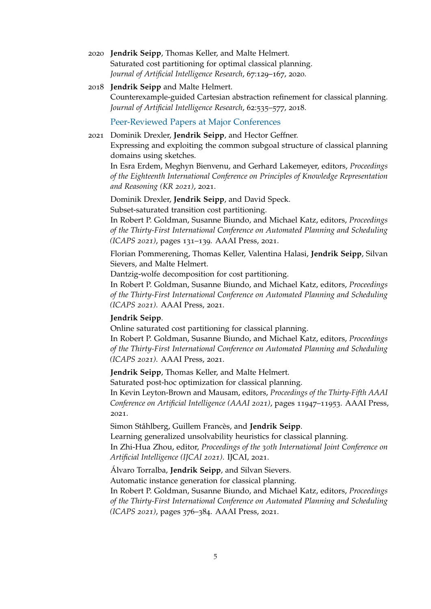2020 **Jendrik Seipp**, Thomas Keller, and Malte Helmert. Saturated cost partitioning for optimal classical planning. *Journal of Artificial Intelligence Research*, 67:129–167, 2020.

# 2018 **Jendrik Seipp** and Malte Helmert. Counterexample-guided Cartesian abstraction refinement for classical planning. *Journal of Artificial Intelligence Research*, 62:535–577, 2018.

Peer-Reviewed Papers at Major Conferences

2021 Dominik Drexler, **Jendrik Seipp**, and Hector Geffner. Expressing and exploiting the common subgoal structure of classical planning domains using sketches.

In Esra Erdem, Meghyn Bienvenu, and Gerhard Lakemeyer, editors, *Proceedings of the Eighteenth International Conference on Principles of Knowledge Representation and Reasoning (KR 2021)*, 2021.

Dominik Drexler, **Jendrik Seipp**, and David Speck. Subset-saturated transition cost partitioning.

In Robert P. Goldman, Susanne Biundo, and Michael Katz, editors, *Proceedings of the Thirty-First International Conference on Automated Planning and Scheduling (ICAPS 2021)*, pages 131–139. AAAI Press, 2021.

Florian Pommerening, Thomas Keller, Valentina Halasi, **Jendrik Seipp**, Silvan Sievers, and Malte Helmert.

Dantzig-wolfe decomposition for cost partitioning.

In Robert P. Goldman, Susanne Biundo, and Michael Katz, editors, *Proceedings of the Thirty-First International Conference on Automated Planning and Scheduling (ICAPS 2021)*. AAAI Press, 2021.

#### **Jendrik Seipp**.

Online saturated cost partitioning for classical planning.

In Robert P. Goldman, Susanne Biundo, and Michael Katz, editors, *Proceedings of the Thirty-First International Conference on Automated Planning and Scheduling (ICAPS 2021)*. AAAI Press, 2021.

**Jendrik Seipp**, Thomas Keller, and Malte Helmert.

Saturated post-hoc optimization for classical planning.

In Kevin Leyton-Brown and Mausam, editors, *Proceedings of the Thirty-Fifth AAAI Conference on Artificial Intelligence (AAAI 2021)*, pages 11947–11953. AAAI Press, 2021.

Simon Ståhlberg, Guillem Francès, and **Jendrik Seipp**.

Learning generalized unsolvability heuristics for classical planning.

In Zhi-Hua Zhou, editor, *Proceedings of the 30th International Joint Conference on Artificial Intelligence (IJCAI 2021)*. IJCAI, 2021.

Álvaro Torralba, **Jendrik Seipp**, and Silvan Sievers.

Automatic instance generation for classical planning.

In Robert P. Goldman, Susanne Biundo, and Michael Katz, editors, *Proceedings of the Thirty-First International Conference on Automated Planning and Scheduling (ICAPS 2021)*, pages 376–384. AAAI Press, 2021.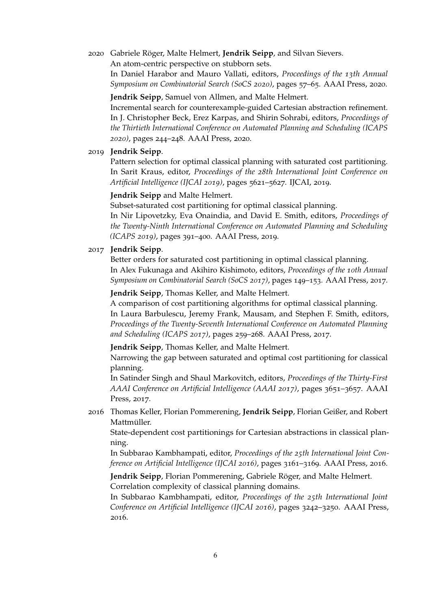# 2020 Gabriele Röger, Malte Helmert, **Jendrik Seipp**, and Silvan Sievers.

An atom-centric perspective on stubborn sets.

In Daniel Harabor and Mauro Vallati, editors, *Proceedings of the 13th Annual Symposium on Combinatorial Search (SoCS 2020)*, pages 57–65. AAAI Press, 2020.

#### **Jendrik Seipp**, Samuel von Allmen, and Malte Helmert.

Incremental search for counterexample-guided Cartesian abstraction refinement. In J. Christopher Beck, Erez Karpas, and Shirin Sohrabi, editors, *Proceedings of the Thirtieth International Conference on Automated Planning and Scheduling (ICAPS 2020)*, pages 244–248. AAAI Press, 2020.

### 2019 **Jendrik Seipp**.

Pattern selection for optimal classical planning with saturated cost partitioning. In Sarit Kraus, editor, *Proceedings of the 28th International Joint Conference on Artificial Intelligence (IJCAI 2019)*, pages 5621–5627. IJCAI, 2019.

## **Jendrik Seipp** and Malte Helmert.

Subset-saturated cost partitioning for optimal classical planning. In Nir Lipovetzky, Eva Onaindia, and David E. Smith, editors, *Proceedings of the Twenty-Ninth International Conference on Automated Planning and Scheduling (ICAPS 2019)*, pages 391–400. AAAI Press, 2019.

#### 2017 **Jendrik Seipp**.

Better orders for saturated cost partitioning in optimal classical planning. In Alex Fukunaga and Akihiro Kishimoto, editors, *Proceedings of the 10th Annual Symposium on Combinatorial Search (SoCS 2017)*, pages 149–153. AAAI Press, 2017.

**Jendrik Seipp**, Thomas Keller, and Malte Helmert.

A comparison of cost partitioning algorithms for optimal classical planning. In Laura Barbulescu, Jeremy Frank, Mausam, and Stephen F. Smith, editors, *Proceedings of the Twenty-Seventh International Conference on Automated Planning and Scheduling (ICAPS 2017)*, pages 259–268. AAAI Press, 2017.

**Jendrik Seipp**, Thomas Keller, and Malte Helmert.

Narrowing the gap between saturated and optimal cost partitioning for classical planning.

In Satinder Singh and Shaul Markovitch, editors, *Proceedings of the Thirty-First AAAI Conference on Artificial Intelligence (AAAI 2017)*, pages 3651–3657. AAAI Press, 2017.

2016 Thomas Keller, Florian Pommerening, **Jendrik Seipp**, Florian Geißer, and Robert Mattmüller.

State-dependent cost partitionings for Cartesian abstractions in classical planning.

In Subbarao Kambhampati, editor, *Proceedings of the 25th International Joint Conference on Artificial Intelligence (IJCAI 2016)*, pages 3161–3169. AAAI Press, 2016.

**Jendrik Seipp**, Florian Pommerening, Gabriele Röger, and Malte Helmert. Correlation complexity of classical planning domains.

In Subbarao Kambhampati, editor, *Proceedings of the 25th International Joint Conference on Artificial Intelligence (IJCAI 2016)*, pages 3242–3250. AAAI Press, 2016.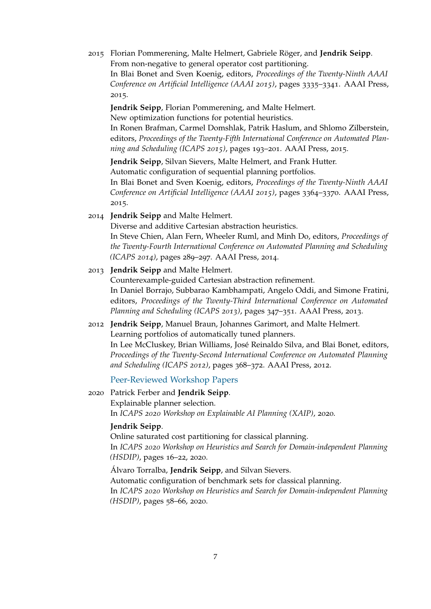2015 Florian Pommerening, Malte Helmert, Gabriele Röger, and **Jendrik Seipp**. From non-negative to general operator cost partitioning.

In Blai Bonet and Sven Koenig, editors, *Proceedings of the Twenty-Ninth AAAI Conference on Artificial Intelligence (AAAI 2015)*, pages 3335–3341. AAAI Press, 2015.

**Jendrik Seipp**, Florian Pommerening, and Malte Helmert. New optimization functions for potential heuristics.

In Ronen Brafman, Carmel Domshlak, Patrik Haslum, and Shlomo Zilberstein, editors, *Proceedings of the Twenty-Fifth International Conference on Automated Planning and Scheduling (ICAPS 2015)*, pages 193–201. AAAI Press, 2015.

**Jendrik Seipp**, Silvan Sievers, Malte Helmert, and Frank Hutter. Automatic configuration of sequential planning portfolios.

In Blai Bonet and Sven Koenig, editors, *Proceedings of the Twenty-Ninth AAAI Conference on Artificial Intelligence (AAAI 2015)*, pages 3364–3370. AAAI Press, 2015.

2014 **Jendrik Seipp** and Malte Helmert.

Diverse and additive Cartesian abstraction heuristics. In Steve Chien, Alan Fern, Wheeler Ruml, and Minh Do, editors, *Proceedings of the Twenty-Fourth International Conference on Automated Planning and Scheduling (ICAPS 2014)*, pages 289–297. AAAI Press, 2014.

2013 **Jendrik Seipp** and Malte Helmert.

Counterexample-guided Cartesian abstraction refinement. In Daniel Borrajo, Subbarao Kambhampati, Angelo Oddi, and Simone Fratini, editors, *Proceedings of the Twenty-Third International Conference on Automated Planning and Scheduling (ICAPS 2013)*, pages 347–351. AAAI Press, 2013.

2012 **Jendrik Seipp**, Manuel Braun, Johannes Garimort, and Malte Helmert. Learning portfolios of automatically tuned planners. In Lee McCluskey, Brian Williams, José Reinaldo Silva, and Blai Bonet, editors, *Proceedings of the Twenty-Second International Conference on Automated Planning and Scheduling (ICAPS 2012)*, pages 368–372. AAAI Press, 2012.

# Peer-Reviewed Workshop Papers

2020 Patrick Ferber and **Jendrik Seipp**. Explainable planner selection. In *ICAPS 2020 Workshop on Explainable AI Planning (XAIP)*, 2020.

# **Jendrik Seipp**.

Online saturated cost partitioning for classical planning. In *ICAPS 2020 Workshop on Heuristics and Search for Domain-independent Planning (HSDIP)*, pages 16–22, 2020.

Álvaro Torralba, **Jendrik Seipp**, and Silvan Sievers. Automatic configuration of benchmark sets for classical planning. In *ICAPS 2020 Workshop on Heuristics and Search for Domain-independent Planning (HSDIP)*, pages 58–66, 2020.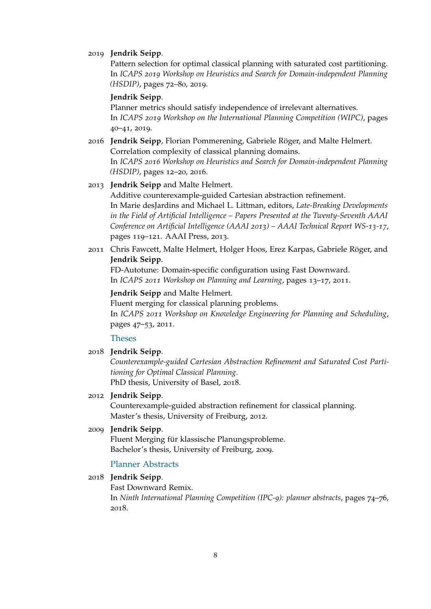#### 2019 **Jendrik Seipp**.

Pattern selection for optimal classical planning with saturated cost partitioning. In *ICAPS 2019 Workshop on Heuristics and Search for Domain-independent Planning (HSDIP)*, pages 72–80, 2019.

#### **Jendrik Seipp**.

Planner metrics should satisfy independence of irrelevant alternatives. In *ICAPS 2019 Workshop on the International Planning Competition (WIPC)*, pages 40–41, 2019.

2016 **Jendrik Seipp**, Florian Pommerening, Gabriele Röger, and Malte Helmert. Correlation complexity of classical planning domains. In *ICAPS 2016 Workshop on Heuristics and Search for Domain-independent Planning (HSDIP)*, pages 12–20, 2016.

#### 2013 **Jendrik Seipp** and Malte Helmert.

Additive counterexample-guided Cartesian abstraction refinement. In Marie desJardins and Michael L. Littman, editors, *Late-Breaking Developments in the Field of Artificial Intelligence – Papers Presented at the Twenty-Seventh AAAI Conference on Artificial Intelligence (AAAI 2013) – AAAI Technical Report WS-13-17*, pages 119–121. AAAI Press, 2013.

2011 Chris Fawcett, Malte Helmert, Holger Hoos, Erez Karpas, Gabriele Röger, and **Jendrik Seipp**.

FD-Autotune: Domain-specific configuration using Fast Downward. In *ICAPS 2011 Workshop on Planning and Learning*, pages 13–17, 2011.

#### **Jendrik Seipp** and Malte Helmert.

Fluent merging for classical planning problems. In *ICAPS 2011 Workshop on Knowledge Engineering for Planning and Scheduling*, pages 47–53, 2011.

#### Theses

2018 **Jendrik Seipp**.

*Counterexample-guided Cartesian Abstraction Refinement and Saturated Cost Partitioning for Optimal Classical Planning*. PhD thesis, University of Basel, 2018.

#### 2012 **Jendrik Seipp**.

Counterexample-guided abstraction refinement for classical planning. Master's thesis, University of Freiburg, 2012.

#### 2009 **Jendrik Seipp**.

Fluent Merging für klassische Planungsprobleme. Bachelor's thesis, University of Freiburg, 2009.

#### Planner Abstracts

#### 2018 **Jendrik Seipp**.

Fast Downward Remix.

In *Ninth International Planning Competition (IPC-9): planner abstracts*, pages 74–76, 2018.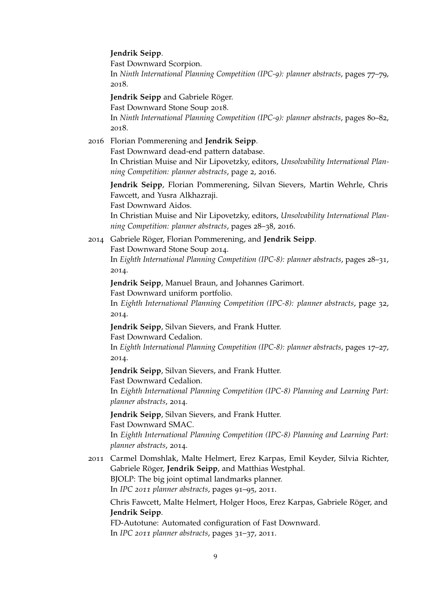#### **Jendrik Seipp**.

Fast Downward Scorpion.

In *Ninth International Planning Competition (IPC-9): planner abstracts*, pages 77–79, 2018.

**Jendrik Seipp** and Gabriele Röger.

Fast Downward Stone Soup 2018.

In *Ninth International Planning Competition (IPC-9): planner abstracts*, pages 80–82, 2018.

2016 Florian Pommerening and **Jendrik Seipp**.

Fast Downward dead-end pattern database.

In Christian Muise and Nir Lipovetzky, editors, *Unsolvability International Planning Competition: planner abstracts*, page 2, 2016.

**Jendrik Seipp**, Florian Pommerening, Silvan Sievers, Martin Wehrle, Chris Fawcett, and Yusra Alkhazraji.

Fast Downward Aidos.

In Christian Muise and Nir Lipovetzky, editors, *Unsolvability International Planning Competition: planner abstracts*, pages 28–38, 2016.

2014 Gabriele Röger, Florian Pommerening, and **Jendrik Seipp**.

Fast Downward Stone Soup 2014.

In *Eighth International Planning Competition (IPC-8): planner abstracts*, pages 28–31, 2014.

**Jendrik Seipp**, Manuel Braun, and Johannes Garimort.

Fast Downward uniform portfolio.

In *Eighth International Planning Competition (IPC-8): planner abstracts*, page 32, 2014.

**Jendrik Seipp**, Silvan Sievers, and Frank Hutter.

Fast Downward Cedalion.

In *Eighth International Planning Competition (IPC-8): planner abstracts*, pages 17–27, 2014.

### **Jendrik Seipp**, Silvan Sievers, and Frank Hutter.

Fast Downward Cedalion.

In *Eighth International Planning Competition (IPC-8) Planning and Learning Part: planner abstracts*, 2014.

**Jendrik Seipp**, Silvan Sievers, and Frank Hutter.

Fast Downward SMAC.

In *Eighth International Planning Competition (IPC-8) Planning and Learning Part: planner abstracts*, 2014.

2011 Carmel Domshlak, Malte Helmert, Erez Karpas, Emil Keyder, Silvia Richter, Gabriele Röger, **Jendrik Seipp**, and Matthias Westphal. BJOLP: The big joint optimal landmarks planner.

In *IPC 2011 planner abstracts*, pages 91–95, 2011.

Chris Fawcett, Malte Helmert, Holger Hoos, Erez Karpas, Gabriele Röger, and **Jendrik Seipp**.

FD-Autotune: Automated configuration of Fast Downward. In *IPC 2011 planner abstracts*, pages 31–37, 2011.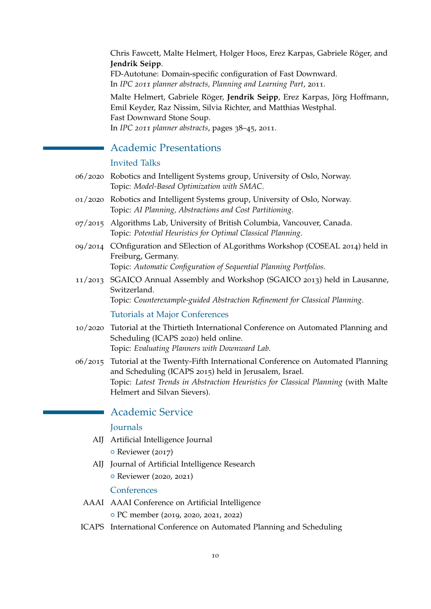Chris Fawcett, Malte Helmert, Holger Hoos, Erez Karpas, Gabriele Röger, and **Jendrik Seipp**.

FD-Autotune: Domain-specific configuration of Fast Downward. In *IPC 2011 planner abstracts, Planning and Learning Part*, 2011.

Malte Helmert, Gabriele Röger, **Jendrik Seipp**, Erez Karpas, Jörg Hoffmann, Emil Keyder, Raz Nissim, Silvia Richter, and Matthias Westphal. Fast Downward Stone Soup. In *IPC 2011 planner abstracts*, pages 38–45, 2011.

# Academic Presentations

# Invited Talks

- 06/2020 Robotics and Intelligent Systems group, University of Oslo, Norway. Topic: *Model-Based Optimization with SMAC*.
- 01/2020 Robotics and Intelligent Systems group, University of Oslo, Norway. Topic: *AI Planning, Abstractions and Cost Partitioning*.
- 07/2015 Algorithms Lab, University of British Columbia, Vancouver, Canada. Topic: *Potential Heuristics for Optimal Classical Planning*.
- 09/2014 COnfiguration and SElection of ALgorithms Workshop (COSEAL 2014) held in Freiburg, Germany. Topic: *Automatic Configuration of Sequential Planning Portfolios*.
- 11/2013 SGAICO Annual Assembly and Workshop (SGAICO 2013) held in Lausanne, Switzerland.

Topic: *Counterexample-guided Abstraction Refinement for Classical Planning*.

#### Tutorials at Major Conferences

- 10/2020 Tutorial at the Thirtieth International Conference on Automated Planning and Scheduling (ICAPS 2020) held online. Topic: *Evaluating Planners with Downward Lab*.
- 06/2015 Tutorial at the Twenty-Fifth International Conference on Automated Planning and Scheduling (ICAPS 2015) held in Jerusalem, Israel. Topic: *Latest Trends in Abstraction Heuristics for Classical Planning* (with Malte Helmert and Silvan Sievers).

# Academic Service

#### **Journals**

AIJ Artificial Intelligence Journal

o Reviewer (2017)

AIJ Journal of Artificial Intelligence Research { Reviewer (2020, 2021)

# **Conferences**

- AAAI AAAI Conference on Artificial Intelligence { PC member (2019, 2020, 2021, 2022)
- ICAPS International Conference on Automated Planning and Scheduling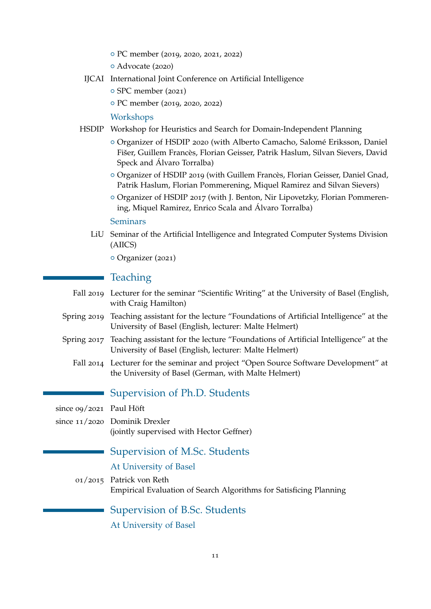- { PC member (2019, 2020, 2021, 2022)
- { Advocate (2020)
- IJCAI International Joint Conference on Artificial Intelligence
	- { SPC member (2021)
	- { PC member (2019, 2020, 2022)

## Workshops

- HSDIP Workshop for Heuristics and Search for Domain-Independent Planning
	- { Organizer of HSDIP 2020 (with Alberto Camacho, Salomé Eriksson, Daniel Fišer, Guillem Francès, Florian Geisser, Patrik Haslum, Silvan Sievers, David Speck and Álvaro Torralba)
	- { Organizer of HSDIP 2019 (with Guillem Francès, Florian Geisser, Daniel Gnad, Patrik Haslum, Florian Pommerening, Miquel Ramirez and Silvan Sievers)
	- { Organizer of HSDIP 2017 (with J. Benton, Nir Lipovetzky, Florian Pommerening, Miquel Ramirez, Enrico Scala and Álvaro Torralba)

#### Seminars

LiU Seminar of the Artificial Intelligence and Integrated Computer Systems Division (AIICS)

o Organizer (2021)

# **Teaching**

- Fall 2019 Lecturer for the seminar "Scientific Writing" at the University of Basel (English, with Craig Hamilton)
- Spring 2019 Teaching assistant for the lecture "Foundations of Artificial Intelligence" at the University of Basel (English, lecturer: Malte Helmert)
- Spring 2017 Teaching assistant for the lecture "Foundations of Artificial Intelligence" at the University of Basel (English, lecturer: Malte Helmert)
	- Fall 2014 Lecturer for the seminar and project "Open Source Software Development" at the University of Basel (German, with Malte Helmert)
		- Supervision of Ph.D. Students

since 09/2021 Paul Höft

since 11/2020 Dominik Drexler (jointly supervised with Hector Geffner)

# Supervision of M.Sc. Students

#### At University of Basel

01/2015 Patrick von Reth Empirical Evaluation of Search Algorithms for Satisficing Planning

Supervision of B.Sc. Students

At University of Basel